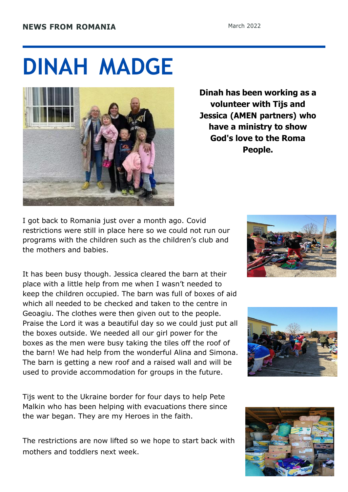## **DINAH MADGE**



**Dinah has been working as a volunteer with Tijs and Jessica (AMEN partners) who have a ministry to show God's love to the Roma People.**

I got back to Romania just over a month ago. Covid restrictions were still in place here so we could not run our programs with the children such as the children's club and the mothers and babies.

It has been busy though. Jessica cleared the barn at their place with a little help from me when I wasn't needed to keep the children occupied. The barn was full of boxes of aid which all needed to be checked and taken to the centre in Geoagiu. The clothes were then given out to the people. Praise the Lord it was a beautiful day so we could just put all the boxes outside. We needed all our girl power for the boxes as the men were busy taking the tiles off the roof of the barn! We had help from the wonderful Alina and Simona. The barn is getting a new roof and a raised wall and will be used to provide accommodation for groups in the future.

Tijs went to the Ukraine border for four days to help Pete Malkin who has been helping with evacuations there since the war began. They are my Heroes in the faith.

The restrictions are now lifted so we hope to start back with mothers and toddlers next week.